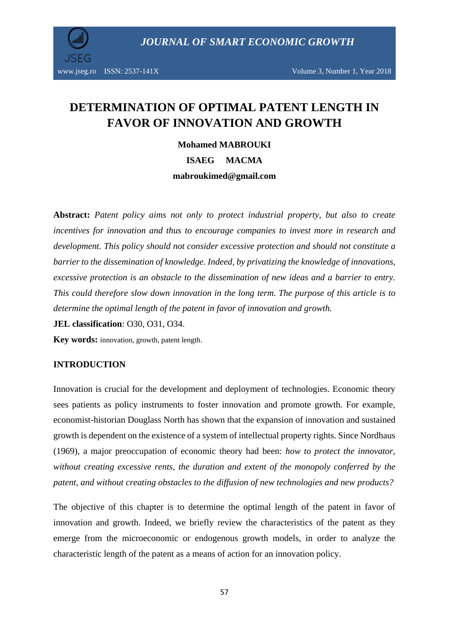*JOURNAL OF SMART ECONOMIC GROWTH*



# **DETERMINATION OF OPTIMAL PATENT LENGTH IN FAVOR OF INNOVATION AND GROWTH**

**Mohamed MABROUKI ISAEG MACMA mabroukimed@gmail.com**

**Abstract:** *Patent policy aims not only to protect industrial property, but also to create incentives for innovation and thus to encourage companies to invest more in research and development. This policy should not consider excessive protection and should not constitute a barrier to the dissemination of knowledge. Indeed, by privatizing the knowledge of innovations, excessive protection is an obstacle to the dissemination of new ideas and a barrier to entry. This could therefore slow down innovation in the long term. The purpose of this article is to determine the optimal length of the patent in favor of innovation and growth.*

**JEL classification**: [O30,](http://econpapers.repec.org/scripts/search.pf?jel=O12) [O31, O34.](http://econpapers.repec.org/scripts/search.pf?jel=O47)

**Key words:** innovation, growth, patent length.

#### **INTRODUCTION**

Innovation is crucial for the development and deployment of technologies. Economic theory sees patients as policy instruments to foster innovation and promote growth. For example, economist-historian Douglass North has shown that the expansion of innovation and sustained growth is dependent on the existence of a system of intellectual property rights. Since Nordhaus (1969), a major preoccupation of economic theory had been: *how to protect the innovator, without creating excessive rents, the duration and extent of the monopoly conferred by the patent, and without creating obstacles to the diffusion of new technologies and new products?*

The objective of this chapter is to determine the optimal length of the patent in favor of innovation and growth. Indeed, we briefly review the characteristics of the patent as they emerge from the microeconomic or endogenous growth models, in order to analyze the characteristic length of the patent as a means of action for an innovation policy.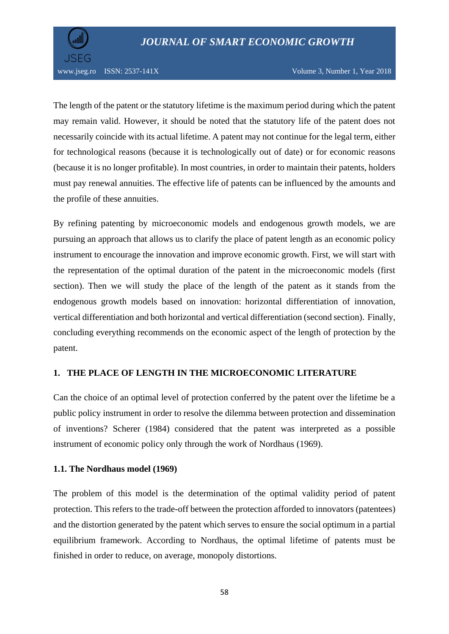

www.jseg.ro ISSN: 2537-141X Volume 3, Number 1, Year 2018

The length of the patent or the statutory lifetime is the maximum period during which the patent may remain valid. However, it should be noted that the statutory life of the patent does not necessarily coincide with its actual lifetime. A patent may not continue for the legal term, either for technological reasons (because it is technologically out of date) or for economic reasons (because it is no longer profitable). In most countries, in order to maintain their patents, holders must pay renewal annuities. The effective life of patents can be influenced by the amounts and the profile of these annuities.

By refining patenting by microeconomic models and endogenous growth models, we are pursuing an approach that allows us to clarify the place of patent length as an economic policy instrument to encourage the innovation and improve economic growth. First, we will start with the representation of the optimal duration of the patent in the microeconomic models (first section). Then we will study the place of the length of the patent as it stands from the endogenous growth models based on innovation: horizontal differentiation of innovation, vertical differentiation and both horizontal and vertical differentiation (second section). Finally, concluding everything recommends on the economic aspect of the length of protection by the patent.

## **1. THE PLACE OF LENGTH IN THE MICROECONOMIC LITERATURE**

Can the choice of an optimal level of protection conferred by the patent over the lifetime be a public policy instrument in order to resolve the dilemma between protection and dissemination of inventions? Scherer (1984) considered that the patent was interpreted as a possible instrument of economic policy only through the work of Nordhaus (1969).

#### **1.1. The Nordhaus model (1969)**

The problem of this model is the determination of the optimal validity period of patent protection. This refers to the trade-off between the protection afforded to innovators (patentees) and the distortion generated by the patent which serves to ensure the social optimum in a partial equilibrium framework. According to Nordhaus, the optimal lifetime of patents must be finished in order to reduce, on average, monopoly distortions.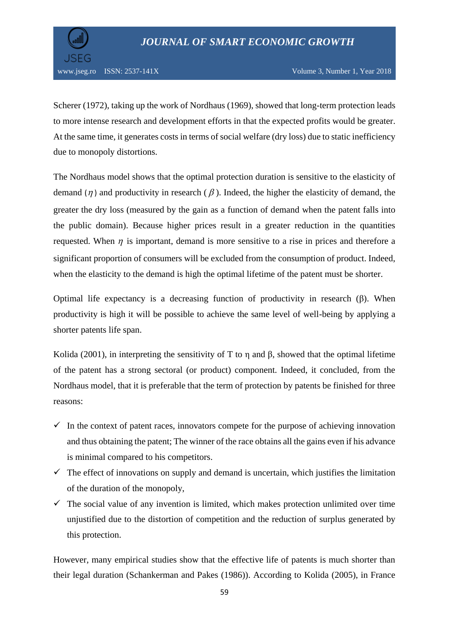



Scherer (1972), taking up the work of Nordhaus (1969), showed that long-term protection leads to more intense research and development efforts in that the expected profits would be greater. At the same time, it generates costs in terms of social welfare (dry loss) due to static inefficiency due to monopoly distortions.

The Nordhaus model shows that the optimal protection duration is sensitive to the elasticity of demand ( $\eta$ ) and productivity in research ( $\beta$ ). Indeed, the higher the elasticity of demand, the greater the dry loss (measured by the gain as a function of demand when the patent falls into the public domain). Because higher prices result in a greater reduction in the quantities requested. When  $\eta$  is important, demand is more sensitive to a rise in prices and therefore a significant proportion of consumers will be excluded from the consumption of product. Indeed, when the elasticity to the demand is high the optimal lifetime of the patent must be shorter.

Optimal life expectancy is a decreasing function of productivity in research (β). When productivity is high it will be possible to achieve the same level of well-being by applying a shorter patents life span.

Kolida (2001), in interpreting the sensitivity of T to η and β, showed that the optimal lifetime of the patent has a strong sectoral (or product) component. Indeed, it concluded, from the Nordhaus model, that it is preferable that the term of protection by patents be finished for three reasons:

- $\checkmark$  In the context of patent races, innovators compete for the purpose of achieving innovation and thus obtaining the patent; The winner of the race obtains all the gains even if his advance is minimal compared to his competitors.
- $\checkmark$  The effect of innovations on supply and demand is uncertain, which justifies the limitation of the duration of the monopoly,
- $\checkmark$  The social value of any invention is limited, which makes protection unlimited over time unjustified due to the distortion of competition and the reduction of surplus generated by this protection.

However, many empirical studies show that the effective life of patents is much shorter than their legal duration (Schankerman and Pakes (1986)). According to Kolida (2005), in France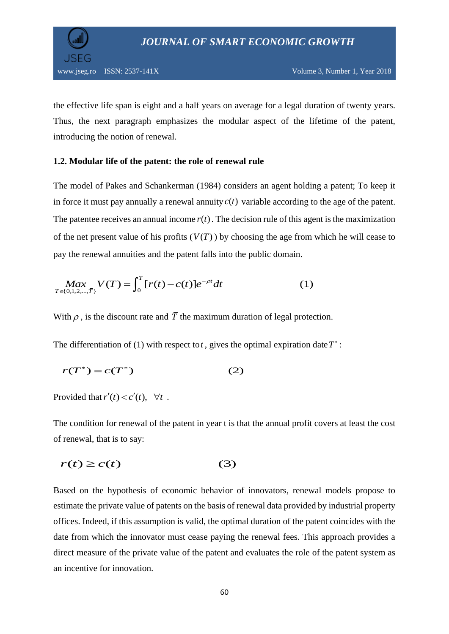

the effective life span is eight and a half years on average for a legal duration of twenty years. Thus, the next paragraph emphasizes the modular aspect of the lifetime of the patent, introducing the notion of renewal.

#### **1.2. Modular life of the patent: the role of renewal rule**

The model of Pakes and Schankerman (1984) considers an agent holding a patent; To keep it in force it must pay annually a renewal annuity  $c(t)$  variable according to the age of the patent. The patentee receives an annual income  $r(t)$ . The decision rule of this agent is the maximization of the net present value of his profits  $(V(T))$  by choosing the age from which he will cease to

pay the renewal annuities and the patent falls into the public domain.  
\n
$$
Max_{T \in \{0,1,2,...,\overline{T}\}} V(T) = \int_0^T [r(t) - c(t)] e^{-\rho t} dt
$$
\n(1)

With  $\rho$ , is the discount rate and  $\overline{T}$  the maximum duration of legal protection.

The differentiation of (1) with respect to *t*, gives the optimal expiration date  $T^*$ :

$$
r(T^*) = c(T^*)
$$
 (2)

Provided that  $r'(t) < c'(t)$ ,  $\forall t$ .

The condition for renewal of the patent in year t is that the annual profit covers at least the cost of renewal, that is to say:

$$
r(t) \ge c(t) \tag{3}
$$

Based on the hypothesis of economic behavior of innovators, renewal models propose to estimate the private value of patents on the basis of renewal data provided by industrial property offices. Indeed, if this assumption is valid, the optimal duration of the patent coincides with the date from which the innovator must cease paying the renewal fees. This approach provides a direct measure of the private value of the patent and evaluates the role of the patent system as an incentive for innovation.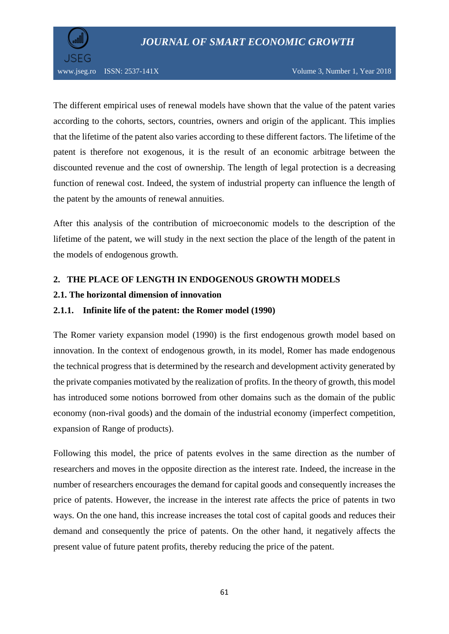

The different empirical uses of renewal models have shown that the value of the patent varies according to the cohorts, sectors, countries, owners and origin of the applicant. This implies that the lifetime of the patent also varies according to these different factors. The lifetime of the patent is therefore not exogenous, it is the result of an economic arbitrage between the discounted revenue and the cost of ownership. The length of legal protection is a decreasing function of renewal cost. Indeed, the system of industrial property can influence the length of the patent by the amounts of renewal annuities.

After this analysis of the contribution of microeconomic models to the description of the lifetime of the patent, we will study in the next section the place of the length of the patent in the models of endogenous growth.

## **2. THE PLACE OF LENGTH IN ENDOGENOUS GROWTH MODELS**

#### **2.1. The horizontal dimension of innovation**

#### **2.1.1. Infinite life of the patent: the Romer model (1990)**

The Romer variety expansion model (1990) is the first endogenous growth model based on innovation. In the context of endogenous growth, in its model, Romer has made endogenous the technical progress that is determined by the research and development activity generated by the private companies motivated by the realization of profits. In the theory of growth, this model has introduced some notions borrowed from other domains such as the domain of the public economy (non-rival goods) and the domain of the industrial economy (imperfect competition, expansion of Range of products).

Following this model, the price of patents evolves in the same direction as the number of researchers and moves in the opposite direction as the interest rate. Indeed, the increase in the number of researchers encourages the demand for capital goods and consequently increases the price of patents. However, the increase in the interest rate affects the price of patents in two ways. On the one hand, this increase increases the total cost of capital goods and reduces their demand and consequently the price of patents. On the other hand, it negatively affects the present value of future patent profits, thereby reducing the price of the patent.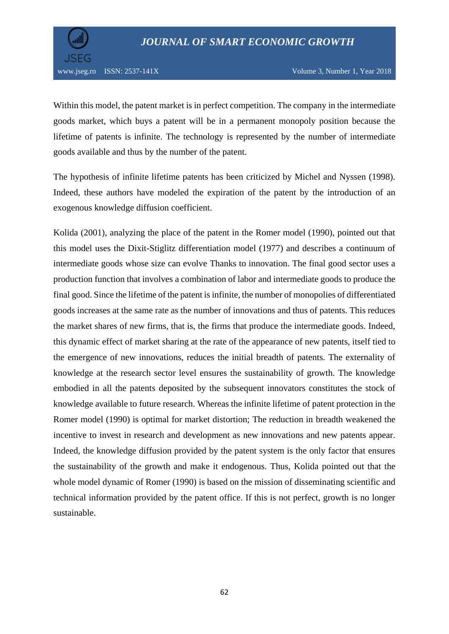

Within this model, the patent market is in perfect competition. The company in the intermediate goods market, which buys a patent will be in a permanent monopoly position because the lifetime of patents is infinite. The technology is represented by the number of intermediate goods available and thus by the number of the patent.

The hypothesis of infinite lifetime patents has been criticized by Michel and Nyssen (1998). Indeed, these authors have modeled the expiration of the patent by the introduction of an exogenous knowledge diffusion coefficient.

Kolida (2001), analyzing the place of the patent in the Romer model (1990), pointed out that this model uses the Dixit-Stiglitz differentiation model (1977) and describes a continuum of intermediate goods whose size can evolve Thanks to innovation. The final good sector uses a production function that involves a combination of labor and intermediate goods to produce the final good. Since the lifetime of the patent is infinite, the number of monopolies of differentiated goods increases at the same rate as the number of innovations and thus of patents. This reduces the market shares of new firms, that is, the firms that produce the intermediate goods. Indeed, this dynamic effect of market sharing at the rate of the appearance of new patents, itself tied to the emergence of new innovations, reduces the initial breadth of patents. The externality of knowledge at the research sector level ensures the sustainability of growth. The knowledge embodied in all the patents deposited by the subsequent innovators constitutes the stock of knowledge available to future research. Whereas the infinite lifetime of patent protection in the Romer model (1990) is optimal for market distortion; The reduction in breadth weakened the incentive to invest in research and development as new innovations and new patents appear. Indeed, the knowledge diffusion provided by the patent system is the only factor that ensures the sustainability of the growth and make it endogenous. Thus, Kolida pointed out that the whole model dynamic of Romer (1990) is based on the mission of disseminating scientific and technical information provided by the patent office. If this is not perfect, growth is no longer sustainable.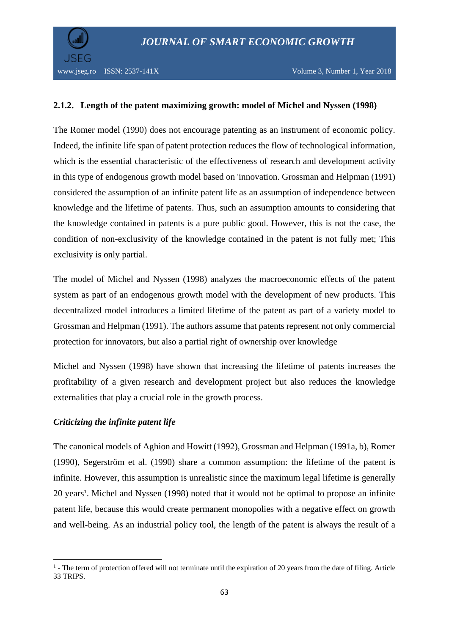

## **2.1.2. Length of the patent maximizing growth: model of Michel and Nyssen (1998)**

The Romer model (1990) does not encourage patenting as an instrument of economic policy. Indeed, the infinite life span of patent protection reduces the flow of technological information, which is the essential characteristic of the effectiveness of research and development activity in this type of endogenous growth model based on 'innovation. Grossman and Helpman (1991) considered the assumption of an infinite patent life as an assumption of independence between knowledge and the lifetime of patents. Thus, such an assumption amounts to considering that the knowledge contained in patents is a pure public good. However, this is not the case, the condition of non-exclusivity of the knowledge contained in the patent is not fully met; This exclusivity is only partial.

The model of Michel and Nyssen (1998) analyzes the macroeconomic effects of the patent system as part of an endogenous growth model with the development of new products. This decentralized model introduces a limited lifetime of the patent as part of a variety model to Grossman and Helpman (1991). The authors assume that patents represent not only commercial protection for innovators, but also a partial right of ownership over knowledge

Michel and Nyssen (1998) have shown that increasing the lifetime of patents increases the profitability of a given research and development project but also reduces the knowledge externalities that play a crucial role in the growth process.

## *Criticizing the infinite patent life*

The canonical models of Aghion and Howitt (1992), Grossman and Helpman (1991a, b), Romer (1990), Segerström et al. (1990) share a common assumption: the lifetime of the patent is infinite. However, this assumption is unrealistic since the maximum legal lifetime is generally 20 years<sup>1</sup>. Michel and Nyssen (1998) noted that it would not be optimal to propose an infinite patent life, because this would create permanent monopolies with a negative effect on growth and well-being. As an industrial policy tool, the length of the patent is always the result of a

<sup>1</sup> <sup>1</sup> - The term of protection offered will not terminate until the expiration of 20 years from the date of filing. Article 33 TRIPS.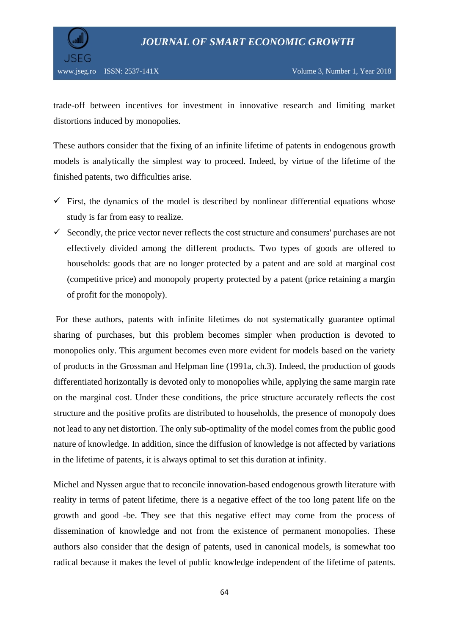



trade-off between incentives for investment in innovative research and limiting market distortions induced by monopolies.

These authors consider that the fixing of an infinite lifetime of patents in endogenous growth models is analytically the simplest way to proceed. Indeed, by virtue of the lifetime of the finished patents, two difficulties arise.

- $\checkmark$  First, the dynamics of the model is described by nonlinear differential equations whose study is far from easy to realize.
- $\checkmark$  Secondly, the price vector never reflects the cost structure and consumers' purchases are not effectively divided among the different products. Two types of goods are offered to households: goods that are no longer protected by a patent and are sold at marginal cost (competitive price) and monopoly property protected by a patent (price retaining a margin of profit for the monopoly).

For these authors, patents with infinite lifetimes do not systematically guarantee optimal sharing of purchases, but this problem becomes simpler when production is devoted to monopolies only. This argument becomes even more evident for models based on the variety of products in the Grossman and Helpman line (1991a, ch.3). Indeed, the production of goods differentiated horizontally is devoted only to monopolies while, applying the same margin rate on the marginal cost. Under these conditions, the price structure accurately reflects the cost structure and the positive profits are distributed to households, the presence of monopoly does not lead to any net distortion. The only sub-optimality of the model comes from the public good nature of knowledge. In addition, since the diffusion of knowledge is not affected by variations in the lifetime of patents, it is always optimal to set this duration at infinity.

Michel and Nyssen argue that to reconcile innovation-based endogenous growth literature with reality in terms of patent lifetime, there is a negative effect of the too long patent life on the growth and good -be. They see that this negative effect may come from the process of dissemination of knowledge and not from the existence of permanent monopolies. These authors also consider that the design of patents, used in canonical models, is somewhat too radical because it makes the level of public knowledge independent of the lifetime of patents.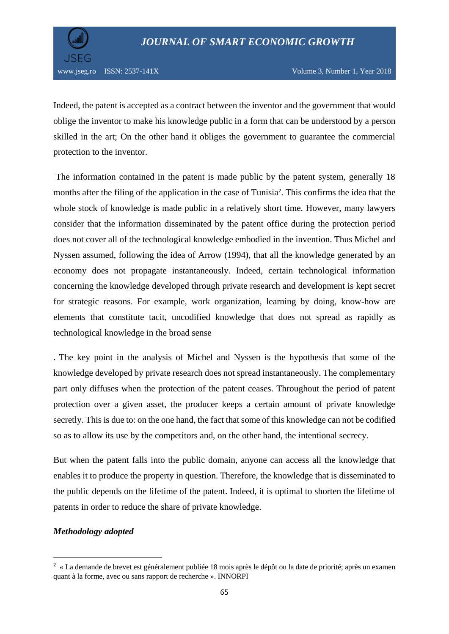

Indeed, the patent is accepted as a contract between the inventor and the government that would oblige the inventor to make his knowledge public in a form that can be understood by a person skilled in the art; On the other hand it obliges the government to guarantee the commercial protection to the inventor.

The information contained in the patent is made public by the patent system, generally 18 months after the filing of the application in the case of Tunisia<sup>2</sup>. This confirms the idea that the whole stock of knowledge is made public in a relatively short time. However, many lawyers consider that the information disseminated by the patent office during the protection period does not cover all of the technological knowledge embodied in the invention. Thus Michel and Nyssen assumed, following the idea of Arrow (1994), that all the knowledge generated by an economy does not propagate instantaneously. Indeed, certain technological information concerning the knowledge developed through private research and development is kept secret for strategic reasons. For example, work organization, learning by doing, know-how are elements that constitute tacit, uncodified knowledge that does not spread as rapidly as technological knowledge in the broad sense

. The key point in the analysis of Michel and Nyssen is the hypothesis that some of the knowledge developed by private research does not spread instantaneously. The complementary part only diffuses when the protection of the patent ceases. Throughout the period of patent protection over a given asset, the producer keeps a certain amount of private knowledge secretly. This is due to: on the one hand, the fact that some of this knowledge can not be codified so as to allow its use by the competitors and, on the other hand, the intentional secrecy.

But when the patent falls into the public domain, anyone can access all the knowledge that enables it to produce the property in question. Therefore, the knowledge that is disseminated to the public depends on the lifetime of the patent. Indeed, it is optimal to shorten the lifetime of patents in order to reduce the share of private knowledge.

#### *Methodology adopted*

**.** 

<sup>&</sup>lt;sup>2</sup> « La demande de brevet est généralement publiée 18 mois après le dépôt ou la date de priorité; après un examen quant à la forme, avec ou sans rapport de recherche ». INNORPI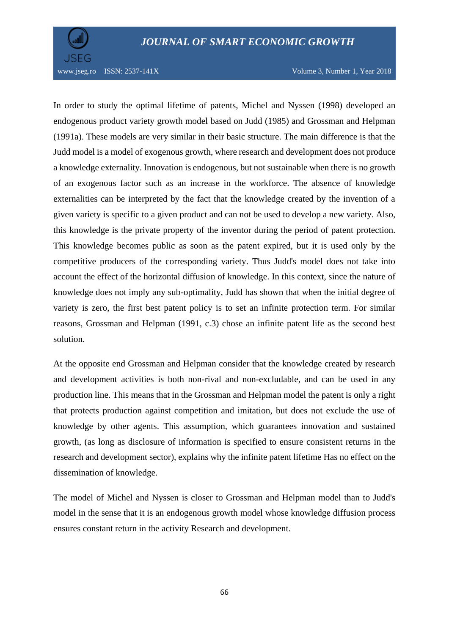



www.jseg.ro ISSN: 2537-141X Volume 3, Number 1, Year 2018

In order to study the optimal lifetime of patents, Michel and Nyssen (1998) developed an endogenous product variety growth model based on Judd (1985) and Grossman and Helpman (1991a). These models are very similar in their basic structure. The main difference is that the Judd model is a model of exogenous growth, where research and development does not produce a knowledge externality. Innovation is endogenous, but not sustainable when there is no growth of an exogenous factor such as an increase in the workforce. The absence of knowledge externalities can be interpreted by the fact that the knowledge created by the invention of a given variety is specific to a given product and can not be used to develop a new variety. Also, this knowledge is the private property of the inventor during the period of patent protection. This knowledge becomes public as soon as the patent expired, but it is used only by the competitive producers of the corresponding variety. Thus Judd's model does not take into account the effect of the horizontal diffusion of knowledge. In this context, since the nature of knowledge does not imply any sub-optimality, Judd has shown that when the initial degree of variety is zero, the first best patent policy is to set an infinite protection term. For similar reasons, Grossman and Helpman (1991, c.3) chose an infinite patent life as the second best solution.

At the opposite end Grossman and Helpman consider that the knowledge created by research and development activities is both non-rival and non-excludable, and can be used in any production line. This means that in the Grossman and Helpman model the patent is only a right that protects production against competition and imitation, but does not exclude the use of knowledge by other agents. This assumption, which guarantees innovation and sustained growth, (as long as disclosure of information is specified to ensure consistent returns in the research and development sector), explains why the infinite patent lifetime Has no effect on the dissemination of knowledge.

The model of Michel and Nyssen is closer to Grossman and Helpman model than to Judd's model in the sense that it is an endogenous growth model whose knowledge diffusion process ensures constant return in the activity Research and development.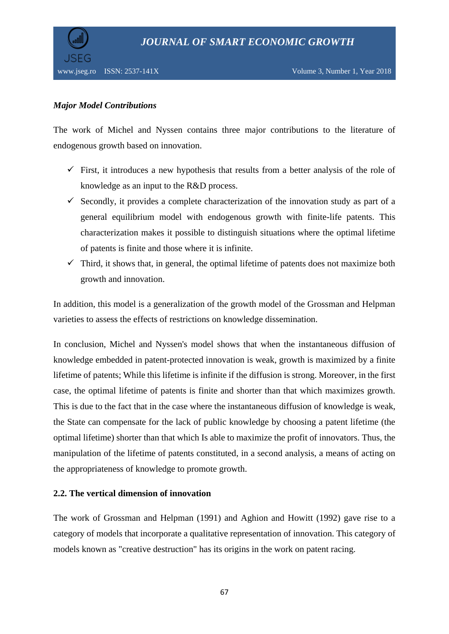



# *Major Model Contributions*

The work of Michel and Nyssen contains three major contributions to the literature of endogenous growth based on innovation.

- $\checkmark$  First, it introduces a new hypothesis that results from a better analysis of the role of knowledge as an input to the R&D process.
- $\checkmark$  Secondly, it provides a complete characterization of the innovation study as part of a general equilibrium model with endogenous growth with finite-life patents. This characterization makes it possible to distinguish situations where the optimal lifetime of patents is finite and those where it is infinite.
- $\checkmark$  Third, it shows that, in general, the optimal lifetime of patents does not maximize both growth and innovation.

In addition, this model is a generalization of the growth model of the Grossman and Helpman varieties to assess the effects of restrictions on knowledge dissemination.

In conclusion, Michel and Nyssen's model shows that when the instantaneous diffusion of knowledge embedded in patent-protected innovation is weak, growth is maximized by a finite lifetime of patents; While this lifetime is infinite if the diffusion is strong. Moreover, in the first case, the optimal lifetime of patents is finite and shorter than that which maximizes growth. This is due to the fact that in the case where the instantaneous diffusion of knowledge is weak, the State can compensate for the lack of public knowledge by choosing a patent lifetime (the optimal lifetime) shorter than that which Is able to maximize the profit of innovators. Thus, the manipulation of the lifetime of patents constituted, in a second analysis, a means of acting on the appropriateness of knowledge to promote growth.

## **2.2. The vertical dimension of innovation**

The work of Grossman and Helpman (1991) and Aghion and Howitt (1992) gave rise to a category of models that incorporate a qualitative representation of innovation. This category of models known as "creative destruction" has its origins in the work on patent racing.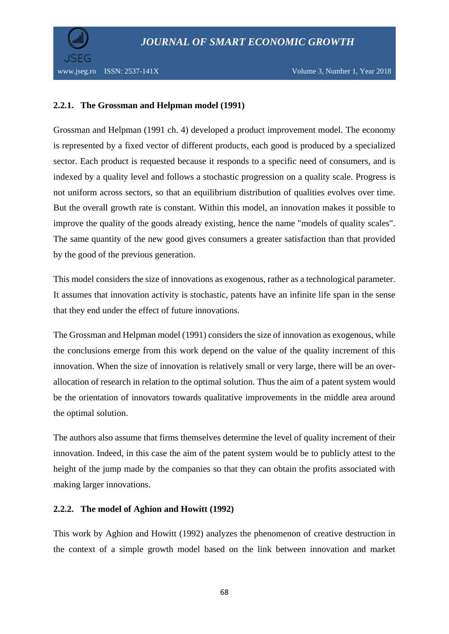

## **2.2.1. The Grossman and Helpman model (1991)**

Grossman and Helpman (1991 ch. 4) developed a product improvement model. The economy is represented by a fixed vector of different products, each good is produced by a specialized sector. Each product is requested because it responds to a specific need of consumers, and is indexed by a quality level and follows a stochastic progression on a quality scale. Progress is not uniform across sectors, so that an equilibrium distribution of qualities evolves over time. But the overall growth rate is constant. Within this model, an innovation makes it possible to improve the quality of the goods already existing, hence the name "models of quality scales". The same quantity of the new good gives consumers a greater satisfaction than that provided by the good of the previous generation.

This model considers the size of innovations as exogenous, rather as a technological parameter. It assumes that innovation activity is stochastic, patents have an infinite life span in the sense that they end under the effect of future innovations.

The Grossman and Helpman model (1991) considers the size of innovation as exogenous, while the conclusions emerge from this work depend on the value of the quality increment of this innovation. When the size of innovation is relatively small or very large, there will be an overallocation of research in relation to the optimal solution. Thus the aim of a patent system would be the orientation of innovators towards qualitative improvements in the middle area around the optimal solution.

The authors also assume that firms themselves determine the level of quality increment of their innovation. Indeed, in this case the aim of the patent system would be to publicly attest to the height of the jump made by the companies so that they can obtain the profits associated with making larger innovations.

## **2.2.2. The model of Aghion and Howitt (1992)**

This work by Aghion and Howitt (1992) analyzes the phenomenon of creative destruction in the context of a simple growth model based on the link between innovation and market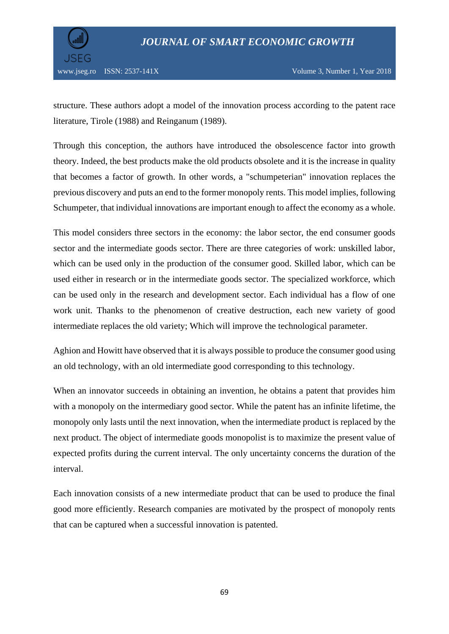

structure. These authors adopt a model of the innovation process according to the patent race literature, Tirole (1988) and Reinganum (1989).

Through this conception, the authors have introduced the obsolescence factor into growth theory. Indeed, the best products make the old products obsolete and it is the increase in quality that becomes a factor of growth. In other words, a "schumpeterian" innovation replaces the previous discovery and puts an end to the former monopoly rents. This model implies, following Schumpeter, that individual innovations are important enough to affect the economy as a whole.

This model considers three sectors in the economy: the labor sector, the end consumer goods sector and the intermediate goods sector. There are three categories of work: unskilled labor, which can be used only in the production of the consumer good. Skilled labor, which can be used either in research or in the intermediate goods sector. The specialized workforce, which can be used only in the research and development sector. Each individual has a flow of one work unit. Thanks to the phenomenon of creative destruction, each new variety of good intermediate replaces the old variety; Which will improve the technological parameter.

Aghion and Howitt have observed that it is always possible to produce the consumer good using an old technology, with an old intermediate good corresponding to this technology.

When an innovator succeeds in obtaining an invention, he obtains a patent that provides him with a monopoly on the intermediary good sector. While the patent has an infinite lifetime, the monopoly only lasts until the next innovation, when the intermediate product is replaced by the next product. The object of intermediate goods monopolist is to maximize the present value of expected profits during the current interval. The only uncertainty concerns the duration of the interval.

Each innovation consists of a new intermediate product that can be used to produce the final good more efficiently. Research companies are motivated by the prospect of monopoly rents that can be captured when a successful innovation is patented.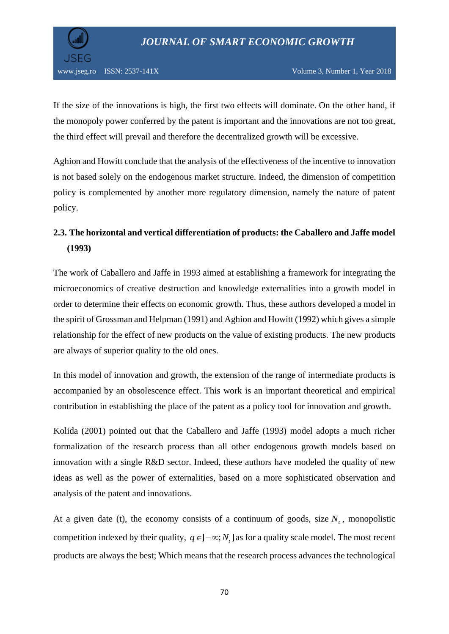

If the size of the innovations is high, the first two effects will dominate. On the other hand, if the monopoly power conferred by the patent is important and the innovations are not too great, the third effect will prevail and therefore the decentralized growth will be excessive.

Aghion and Howitt conclude that the analysis of the effectiveness of the incentive to innovation is not based solely on the endogenous market structure. Indeed, the dimension of competition policy is complemented by another more regulatory dimension, namely the nature of patent policy.

# **2.3. The horizontal and vertical differentiation of products: the Caballero and Jaffe model (1993)**

The work of Caballero and Jaffe in 1993 aimed at establishing a framework for integrating the microeconomics of creative destruction and knowledge externalities into a growth model in order to determine their effects on economic growth. Thus, these authors developed a model in the spirit of Grossman and Helpman (1991) and Aghion and Howitt (1992) which gives a simple relationship for the effect of new products on the value of existing products. The new products are always of superior quality to the old ones.

In this model of innovation and growth, the extension of the range of intermediate products is accompanied by an obsolescence effect. This work is an important theoretical and empirical contribution in establishing the place of the patent as a policy tool for innovation and growth.

Kolida (2001) pointed out that the Caballero and Jaffe (1993) model adopts a much richer formalization of the research process than all other endogenous growth models based on innovation with a single R&D sector. Indeed, these authors have modeled the quality of new ideas as well as the power of externalities, based on a more sophisticated observation and analysis of the patent and innovations.

At a given date (t), the economy consists of a continuum of goods, size  $N_t$ , monopolistic competition indexed by their quality,  $q \in ]-\infty; N_t]$  as for a quality scale model. The most recent products are always the best; Which means that the research process advances the technological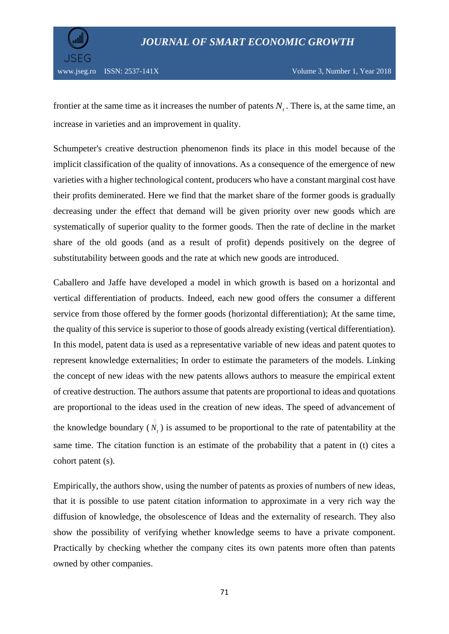

frontier at the same time as it increases the number of patents  $N<sub>t</sub>$ . There is, at the same time, an increase in varieties and an improvement in quality.

Schumpeter's creative destruction phenomenon finds its place in this model because of the implicit classification of the quality of innovations. As a consequence of the emergence of new varieties with a higher technological content, producers who have a constant marginal cost have their profits deminerated. Here we find that the market share of the former goods is gradually decreasing under the effect that demand will be given priority over new goods which are systematically of superior quality to the former goods. Then the rate of decline in the market share of the old goods (and as a result of profit) depends positively on the degree of substitutability between goods and the rate at which new goods are introduced.

Caballero and Jaffe have developed a model in which growth is based on a horizontal and vertical differentiation of products. Indeed, each new good offers the consumer a different service from those offered by the former goods (horizontal differentiation); At the same time, the quality of this service is superior to those of goods already existing (vertical differentiation). In this model, patent data is used as a representative variable of new ideas and patent quotes to represent knowledge externalities; In order to estimate the parameters of the models. Linking the concept of new ideas with the new patents allows authors to measure the empirical extent of creative destruction. The authors assume that patents are proportional to ideas and quotations are proportional to the ideas used in the creation of new ideas. The speed of advancement of the knowledge boundary  $(N_t)$  is assumed to be proportional to the rate of patentability at the same time. The citation function is an estimate of the probability that a patent in (t) cites a cohort patent (s).

Empirically, the authors show, using the number of patents as proxies of numbers of new ideas, that it is possible to use patent citation information to approximate in a very rich way the diffusion of knowledge, the obsolescence of Ideas and the externality of research. They also show the possibility of verifying whether knowledge seems to have a private component. Practically by checking whether the company cites its own patents more often than patents owned by other companies.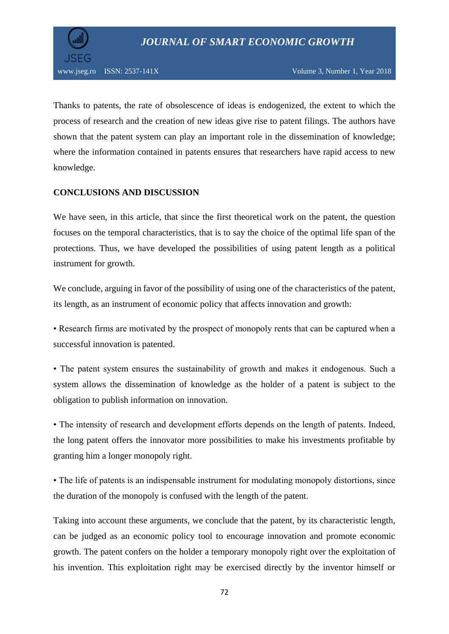

Thanks to patents, the rate of obsolescence of ideas is endogenized, the extent to which the process of research and the creation of new ideas give rise to patent filings. The authors have shown that the patent system can play an important role in the dissemination of knowledge; where the information contained in patents ensures that researchers have rapid access to new knowledge.

## **CONCLUSIONS AND DISCUSSION**

We have seen, in this article, that since the first theoretical work on the patent, the question focuses on the temporal characteristics, that is to say the choice of the optimal life span of the protections. Thus, we have developed the possibilities of using patent length as a political instrument for growth.

We conclude, arguing in favor of the possibility of using one of the characteristics of the patent, its length, as an instrument of economic policy that affects innovation and growth:

• Research firms are motivated by the prospect of monopoly rents that can be captured when a successful innovation is patented.

• The patent system ensures the sustainability of growth and makes it endogenous. Such a system allows the dissemination of knowledge as the holder of a patent is subject to the obligation to publish information on innovation.

• The intensity of research and development efforts depends on the length of patents. Indeed, the long patent offers the innovator more possibilities to make his investments profitable by granting him a longer monopoly right.

• The life of patents is an indispensable instrument for modulating monopoly distortions, since the duration of the monopoly is confused with the length of the patent.

Taking into account these arguments, we conclude that the patent, by its characteristic length, can be judged as an economic policy tool to encourage innovation and promote economic growth. The patent confers on the holder a temporary monopoly right over the exploitation of his invention. This exploitation right may be exercised directly by the inventor himself or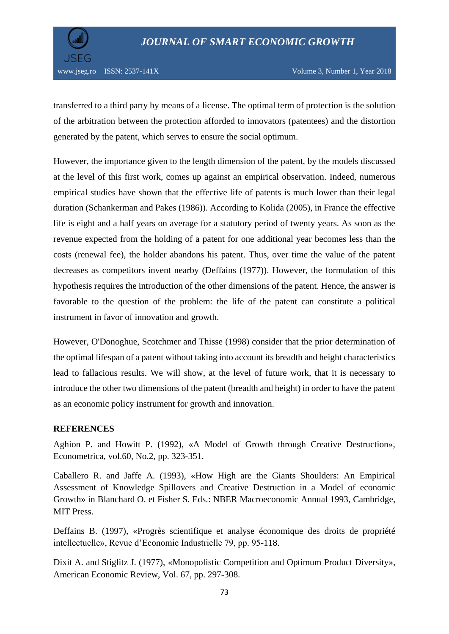

transferred to a third party by means of a license. The optimal term of protection is the solution of the arbitration between the protection afforded to innovators (patentees) and the distortion generated by the patent, which serves to ensure the social optimum.

However, the importance given to the length dimension of the patent, by the models discussed at the level of this first work, comes up against an empirical observation. Indeed, numerous empirical studies have shown that the effective life of patents is much lower than their legal duration (Schankerman and Pakes (1986)). According to Kolida (2005), in France the effective life is eight and a half years on average for a statutory period of twenty years. As soon as the revenue expected from the holding of a patent for one additional year becomes less than the costs (renewal fee), the holder abandons his patent. Thus, over time the value of the patent decreases as competitors invent nearby (Deffains (1977)). However, the formulation of this hypothesis requires the introduction of the other dimensions of the patent. Hence, the answer is favorable to the question of the problem: the life of the patent can constitute a political instrument in favor of innovation and growth.

However, O'Donoghue, Scotchmer and Thisse (1998) consider that the prior determination of the optimal lifespan of a patent without taking into account its breadth and height characteristics lead to fallacious results. We will show, at the level of future work, that it is necessary to introduce the other two dimensions of the patent (breadth and height) in order to have the patent as an economic policy instrument for growth and innovation.

## **REFERENCES**

Aghion P. and Howitt P. (1992), «A Model of Growth through Creative Destruction», Econometrica, vol.60, No.2, pp. 323-351.

Caballero R. and Jaffe A. (1993), «How High are the Giants Shoulders: An Empirical Assessment of Knowledge Spillovers and Creative Destruction in a Model of economic Growth» in Blanchard O. et Fisher S. Eds.: NBER Macroeconomic Annual 1993, Cambridge, MIT Press.

Deffains B. (1997), «Progrès scientifique et analyse économique des droits de propriété intellectuelle», Revue d'Economie Industrielle 79, pp. 95-118.

Dixit A. and Stiglitz J. (1977), «Monopolistic Competition and Optimum Product Diversity», American Economic Review, Vol. 67, pp. 297-308.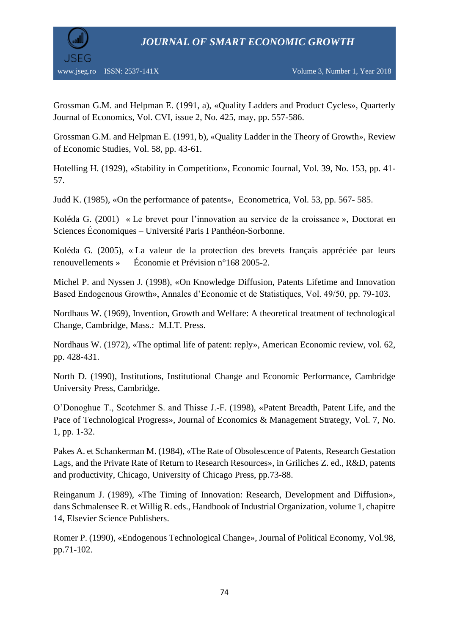*JOURNAL OF SMART ECONOMIC GROWTH*



Grossman G.M. and Helpman E. (1991, a), «Quality Ladders and Product Cycles», Quarterly Journal of Economics, Vol. CVI, issue 2, No. 425, may, pp. 557-586.

Grossman G.M. and Helpman E. (1991, b), «Quality Ladder in the Theory of Growth», Review of Economic Studies, Vol. 58, pp. 43-61.

Hotelling H. (1929), «Stability in Competition», Economic Journal, Vol. 39, No. 153, pp. 41- 57.

Judd K. (1985), «On the performance of patents», Econometrica, Vol. 53, pp. 567- 585.

Koléda G. (2001) « Le brevet pour l'innovation au service de la croissance », Doctorat en Sciences Économiques – Université Paris I Panthéon-Sorbonne.

Koléda G. (2005), « La valeur de la protection des brevets français appréciée par leurs renouvellements » Économie et Prévision n°168 2005-2.

Michel P. and Nyssen J. (1998), «On Knowledge Diffusion, Patents Lifetime and Innovation Based Endogenous Growth», Annales d'Economie et de Statistiques, Vol. 49/50, pp. 79-103.

Nordhaus W. (1969), Invention, Growth and Welfare: A theoretical treatment of technological Change, Cambridge, Mass.: M.I.T. Press.

Nordhaus W. (1972), «The optimal life of patent: reply», American Economic review, vol. 62, pp. 428-431.

North D. (1990), Institutions, Institutional Change and Economic Performance, Cambridge University Press, Cambridge.

O'Donoghue T., Scotchmer S. and Thisse J.-F. (1998), «Patent Breadth, Patent Life, and the Pace of Technological Progress», Journal of Economics & Management Strategy, Vol. 7, No. 1, pp. 1-32.

Pakes A. et Schankerman M. (1984), «The Rate of Obsolescence of Patents, Research Gestation Lags, and the Private Rate of Return to Research Resources», in Griliches Z. ed., R&D, patents and productivity, Chicago, University of Chicago Press, pp.73-88.

Reinganum J. (1989), «The Timing of Innovation: Research, Development and Diffusion», dans Schmalensee R. et Willig R. eds., Handbook of Industrial Organization, volume 1, chapitre 14, Elsevier Science Publishers.

Romer P. (1990), «Endogenous Technological Change», Journal of Political Economy, Vol.98, pp.71-102.